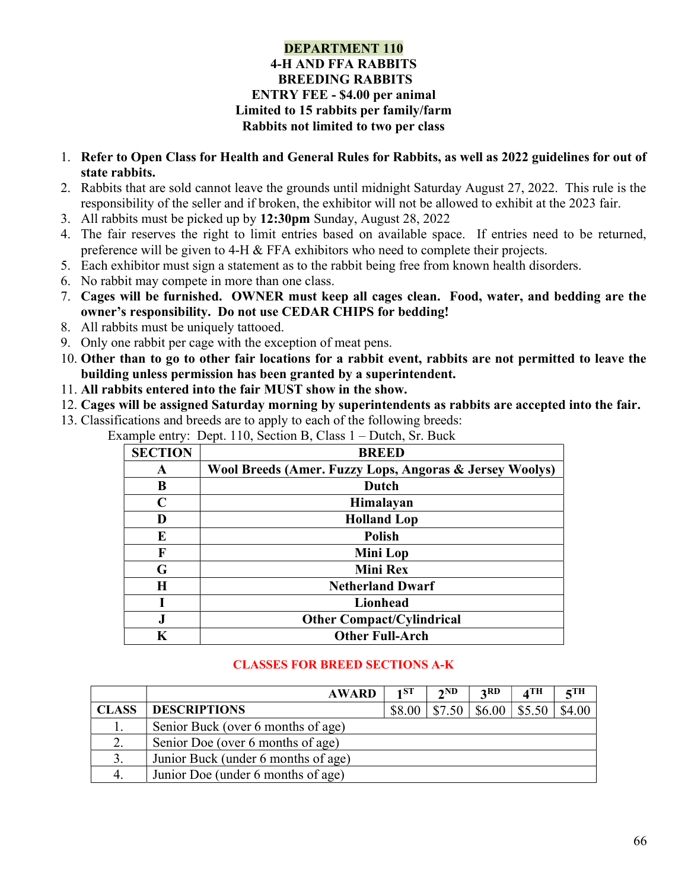#### DEPARTMENT 110 4-H AND FFA RABBITS BREEDING RABBITS ENTRY FEE - \$4.00 per animal Limited to 15 rabbits per family/farm Rabbits not limited to two per class

- 1. Refer to Open Class for Health and General Rules for Rabbits, as well as 2022 guidelines for out of state rabbits.
- 2. Rabbits that are sold cannot leave the grounds until midnight Saturday August 27, 2022. This rule is the responsibility of the seller and if broken, the exhibitor will not be allowed to exhibit at the 2023 fair.
- 3. All rabbits must be picked up by 12:30pm Sunday, August 28, 2022
- 4. The fair reserves the right to limit entries based on available space. If entries need to be returned, preference will be given to 4-H & FFA exhibitors who need to complete their projects.
- 5. Each exhibitor must sign a statement as to the rabbit being free from known health disorders.
- 6. No rabbit may compete in more than one class.
- 7. Cages will be furnished. OWNER must keep all cages clean. Food, water, and bedding are the owner's responsibility. Do not use CEDAR CHIPS for bedding!
- 8. All rabbits must be uniquely tattooed.
- 9. Only one rabbit per cage with the exception of meat pens.
- 10. Other than to go to other fair locations for a rabbit event, rabbits are not permitted to leave the building unless permission has been granted by a superintendent.
- 11. All rabbits entered into the fair MUST show in the show.
- 12. Cages will be assigned Saturday morning by superintendents as rabbits are accepted into the fair.
- 13. Classifications and breeds are to apply to each of the following breeds: Example entry: Dept. 110, Section B, Class 1 – Dutch, Sr. Buck

| $\mathbf{r}$   | л.                                                      |
|----------------|---------------------------------------------------------|
| <b>SECTION</b> | <b>BREED</b>                                            |
| A              | Wool Breeds (Amer. Fuzzy Lops, Angoras & Jersey Woolys) |
| B              | Dutch                                                   |
| C              | Himalayan                                               |
| D              | <b>Holland Lop</b>                                      |
| E              | <b>Polish</b>                                           |
| F              | Mini Lop                                                |
| G              | <b>Mini Rex</b>                                         |
| H              | <b>Netherland Dwarf</b>                                 |
|                | Lionhead                                                |
| $\bf J$        | <b>Other Compact/Cylindrical</b>                        |
| K              | <b>Other Full-Arch</b>                                  |

## CLASSES FOR BREED SECTIONS A-K

|              | <b>AWARD</b>                        | 1ST    | 2ND    | 3RD    | $\boldsymbol{A}$ TH | $5$ TH |
|--------------|-------------------------------------|--------|--------|--------|---------------------|--------|
| <b>CLASS</b> | <b>DESCRIPTIONS</b>                 | \$8.00 | \$7.50 | \$6.00 | \$5.50              | \$4.00 |
|              | Senior Buck (over 6 months of age)  |        |        |        |                     |        |
| 2.           | Senior Doe (over 6 months of age)   |        |        |        |                     |        |
| 3.           | Junior Buck (under 6 months of age) |        |        |        |                     |        |
| 4.           | Junior Doe (under 6 months of age)  |        |        |        |                     |        |